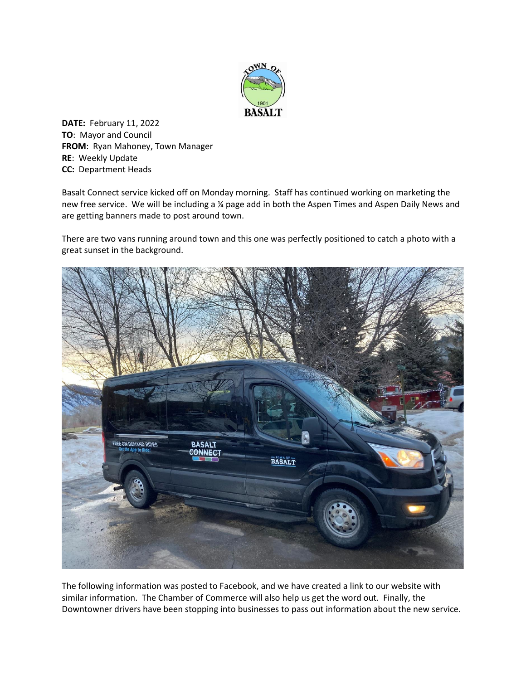

**DATE:** February 11, 2022 **TO**: Mayor and Council **FROM**: Ryan Mahoney, Town Manager **RE**: Weekly Update **CC:** Department Heads

Basalt Connect service kicked off on Monday morning. Staff has continued working on marketing the new free service. We will be including a ¼ page add in both the Aspen Times and Aspen Daily News and are getting banners made to post around town.

There are two vans running around town and this one was perfectly positioned to catch a photo with a great sunset in the background.



The following information was posted to Facebook, and we have created a link to our website with similar information. The Chamber of Commerce will also help us get the word out. Finally, the Downtowner drivers have been stopping into businesses to pass out information about the new service.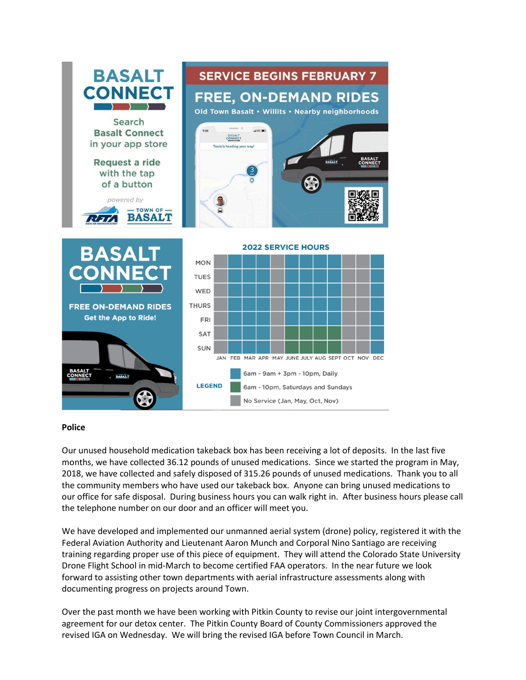

## **Police**

Our unused household medication takeback box has been receiving a lot of deposits. In the last five months, we have collected 36.12 pounds of unused medications. Since we started the program in May, 2018, we have collected and safely disposed of 315.26 pounds of unused medications. Thank you to all the community members who have used our takeback box. Anyone can bring unused medications to our office for safe disposal. During business hours you can walk right in. After business hours please call the telephone number on our door and an officer will meet you.

We have developed and implemented our unmanned aerial system (drone) policy, registered it with the Federal Aviation Authority and Lieutenant Aaron Munch and Corporal Nino Santiago are receiving training regarding proper use of this piece of equipment. They will attend the Colorado State University Drone Flight School in mid-March to become certified FAA operators. In the near future we look forward to assisting other town departments with aerial infrastructure assessments along with documenting progress on projects around Town.

Over the past month we have been working with Pitkin County to revise our joint intergovernmental agreement for our detox center. The Pitkin County Board of County Commissioners approved the revised IGA on Wednesday. We will bring the revised IGA before Town Council in March.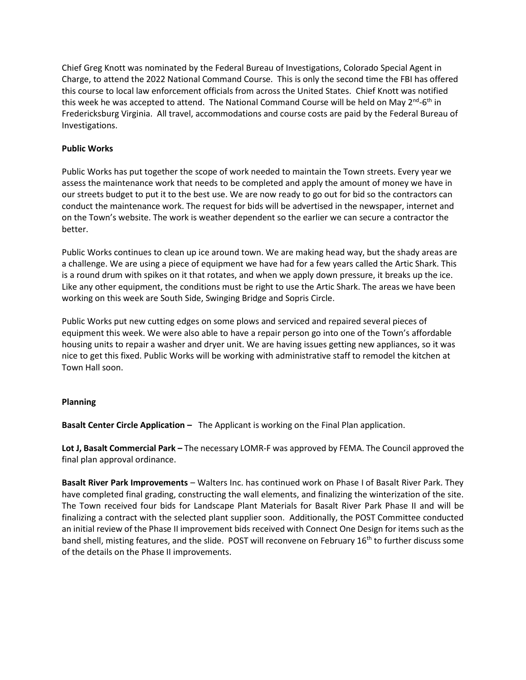Chief Greg Knott was nominated by the Federal Bureau of Investigations, Colorado Special Agent in Charge, to attend the 2022 National Command Course. This is only the second time the FBI has offered this course to local law enforcement officials from across the United States. Chief Knott was notified this week he was accepted to attend. The National Command Course will be held on May 2<sup>nd</sup>-6<sup>th</sup> in Fredericksburg Virginia. All travel, accommodations and course costs are paid by the Federal Bureau of Investigations.

## **Public Works**

Public Works has put together the scope of work needed to maintain the Town streets. Every year we assess the maintenance work that needs to be completed and apply the amount of money we have in our streets budget to put it to the best use. We are now ready to go out for bid so the contractors can conduct the maintenance work. The request for bids will be advertised in the newspaper, internet and on the Town's website. The work is weather dependent so the earlier we can secure a contractor the better.

Public Works continues to clean up ice around town. We are making head way, but the shady areas are a challenge. We are using a piece of equipment we have had for a few years called the Artic Shark. This is a round drum with spikes on it that rotates, and when we apply down pressure, it breaks up the ice. Like any other equipment, the conditions must be right to use the Artic Shark. The areas we have been working on this week are South Side, Swinging Bridge and Sopris Circle.

Public Works put new cutting edges on some plows and serviced and repaired several pieces of equipment this week. We were also able to have a repair person go into one of the Town's affordable housing units to repair a washer and dryer unit. We are having issues getting new appliances, so it was nice to get this fixed. Public Works will be working with administrative staff to remodel the kitchen at Town Hall soon.

## **Planning**

**Basalt Center Circle Application –** The Applicant is working on the Final Plan application.

**Lot J, Basalt Commercial Park –** The necessary LOMR-F was approved by FEMA. The Council approved the final plan approval ordinance.

**Basalt River Park Improvements** – Walters Inc. has continued work on Phase I of Basalt River Park. They have completed final grading, constructing the wall elements, and finalizing the winterization of the site. The Town received four bids for Landscape Plant Materials for Basalt River Park Phase II and will be finalizing a contract with the selected plant supplier soon. Additionally, the POST Committee conducted an initial review of the Phase II improvement bids received with Connect One Design for items such as the band shell, misting features, and the slide. POST will reconvene on February 16<sup>th</sup> to further discuss some of the details on the Phase II improvements.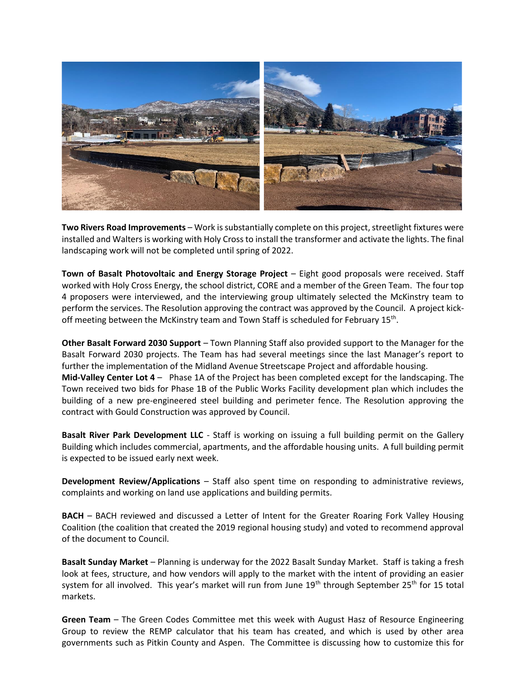

**Two Rivers Road Improvements** – Work is substantially complete on this project, streetlight fixtures were installed and Walters is working with Holy Cross to install the transformer and activate the lights. The final landscaping work will not be completed until spring of 2022.

**Town of Basalt Photovoltaic and Energy Storage Project** – Eight good proposals were received. Staff worked with Holy Cross Energy, the school district, CORE and a member of the Green Team. The four top 4 proposers were interviewed, and the interviewing group ultimately selected the McKinstry team to perform the services. The Resolution approving the contract was approved by the Council. A project kickoff meeting between the McKinstry team and Town Staff is scheduled for February 15<sup>th</sup>.

**Other Basalt Forward 2030 Support** – Town Planning Staff also provided support to the Manager for the Basalt Forward 2030 projects. The Team has had several meetings since the last Manager's report to further the implementation of the Midland Avenue Streetscape Project and affordable housing. **Mid-Valley Center Lot 4** – Phase 1A of the Project has been completed except for the landscaping. The Town received two bids for Phase 1B of the Public Works Facility development plan which includes the building of a new pre-engineered steel building and perimeter fence. The Resolution approving the contract with Gould Construction was approved by Council.

**Basalt River Park Development LLC** - Staff is working on issuing a full building permit on the Gallery Building which includes commercial, apartments, and the affordable housing units. A full building permit is expected to be issued early next week.

**Development Review/Applications** – Staff also spent time on responding to administrative reviews, complaints and working on land use applications and building permits.

**BACH** – BACH reviewed and discussed a Letter of Intent for the Greater Roaring Fork Valley Housing Coalition (the coalition that created the 2019 regional housing study) and voted to recommend approval of the document to Council.

**Basalt Sunday Market** – Planning is underway for the 2022 Basalt Sunday Market. Staff is taking a fresh look at fees, structure, and how vendors will apply to the market with the intent of providing an easier system for all involved. This year's market will run from June 19<sup>th</sup> through September 25<sup>th</sup> for 15 total markets.

**Green Team** – The Green Codes Committee met this week with August Hasz of Resource Engineering Group to review the REMP calculator that his team has created, and which is used by other area governments such as Pitkin County and Aspen. The Committee is discussing how to customize this for